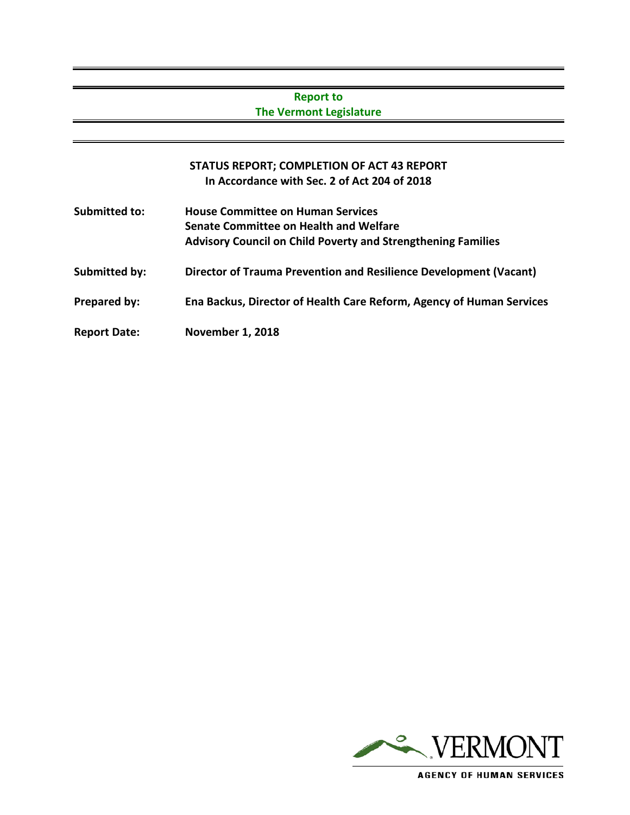## **Report to The Vermont Legislature**

# **STATUS REPORT; COMPLETION OF ACT 43 REPORT In Accordance with Sec. 2 of Act 204 of 2018**

**Submitted to: House Committee on Human Services Senate Committee on Health and Welfare Advisory Council on Child Poverty and Strengthening Families Submitted by: Director of Trauma Prevention and Resilience Development (Vacant) Prepared by: Ena Backus, Director of Health Care Reform, Agency of Human Services Report Date: November 1, 2018**



**AGENCY OF HUMAN SERVICES**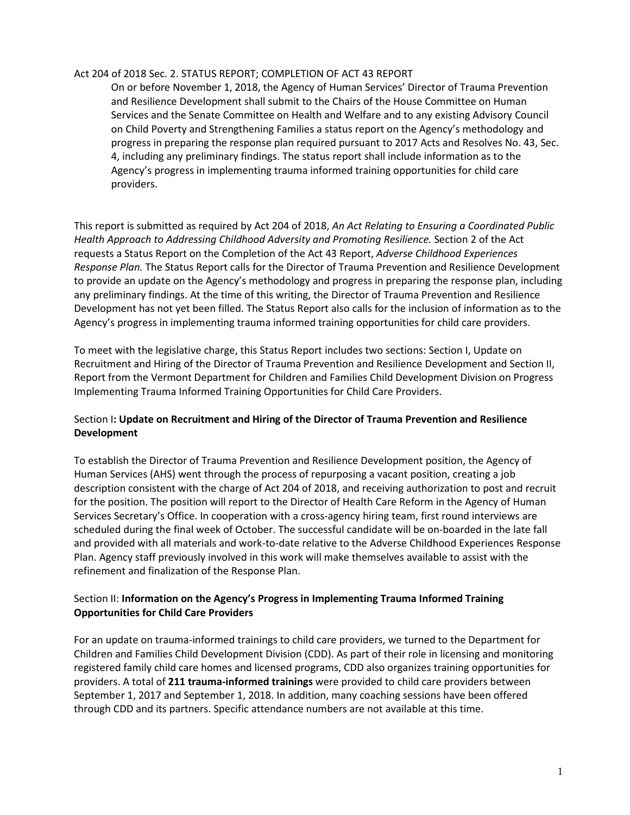#### Act 204 of 2018 Sec. 2. STATUS REPORT; COMPLETION OF ACT 43 REPORT

On or before November 1, 2018, the Agency of Human Services' Director of Trauma Prevention and Resilience Development shall submit to the Chairs of the House Committee on Human Services and the Senate Committee on Health and Welfare and to any existing Advisory Council on Child Poverty and Strengthening Families a status report on the Agency's methodology and progress in preparing the response plan required pursuant to 2017 Acts and Resolves No. 43, Sec. 4, including any preliminary findings. The status report shall include information as to the Agency's progress in implementing trauma informed training opportunities for child care providers.

This report is submitted as required by Act 204 of 2018, *An Act Relating to Ensuring a Coordinated Public Health Approach to Addressing Childhood Adversity and Promoting Resilience.* Section 2 of the Act requests a Status Report on the Completion of the Act 43 Report, *Adverse Childhood Experiences Response Plan.* The Status Report calls for the Director of Trauma Prevention and Resilience Development to provide an update on the Agency's methodology and progress in preparing the response plan, including any preliminary findings. At the time of this writing, the Director of Trauma Prevention and Resilience Development has not yet been filled. The Status Report also calls for the inclusion of information as to the Agency's progress in implementing trauma informed training opportunities for child care providers.

To meet with the legislative charge, this Status Report includes two sections: Section I, Update on Recruitment and Hiring of the Director of Trauma Prevention and Resilience Development and Section II, Report from the Vermont Department for Children and Families Child Development Division on Progress Implementing Trauma Informed Training Opportunities for Child Care Providers.

#### Section I**: Update on Recruitment and Hiring of the Director of Trauma Prevention and Resilience Development**

To establish the Director of Trauma Prevention and Resilience Development position, the Agency of Human Services (AHS) went through the process of repurposing a vacant position, creating a job description consistent with the charge of Act 204 of 2018, and receiving authorization to post and recruit for the position. The position will report to the Director of Health Care Reform in the Agency of Human Services Secretary's Office. In cooperation with a cross-agency hiring team, first round interviews are scheduled during the final week of October. The successful candidate will be on-boarded in the late fall and provided with all materials and work-to-date relative to the Adverse Childhood Experiences Response Plan. Agency staff previously involved in this work will make themselves available to assist with the refinement and finalization of the Response Plan.

#### Section II: **Information on the Agency's Progress in Implementing Trauma Informed Training Opportunities for Child Care Providers**

For an update on trauma-informed trainings to child care providers, we turned to the Department for Children and Families Child Development Division (CDD). As part of their role in licensing and monitoring registered family child care homes and licensed programs, CDD also organizes training opportunities for providers. A total of **211 trauma-informed trainings** were provided to child care providers between September 1, 2017 and September 1, 2018. In addition, many coaching sessions have been offered through CDD and its partners. Specific attendance numbers are not available at this time.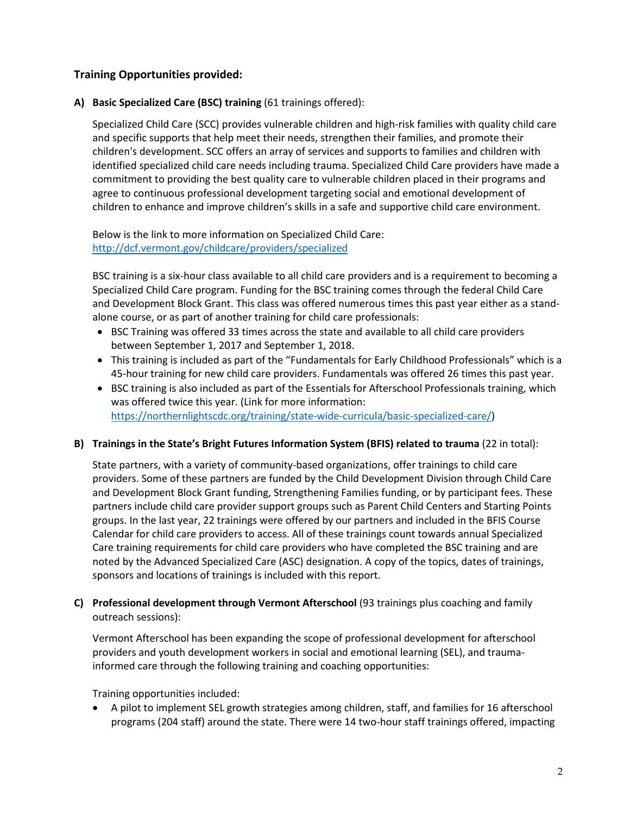## **Training Opportunities provided:**

#### **A) Basic Specialized Care (BSC) training** (61 trainings offered):

Specialized Child Care (SCC) provides vulnerable children and high-risk families with quality child care and specific supports that help meet their needs, strengthen their families, and promote their children's development. SCC offers an array of services and supports to families and children with identified specialized child care needs including trauma. Specialized Child Care providers have made a commitment to providing the best quality care to vulnerable children placed in their programs and agree to continuous professional development targeting social and emotional development of children to enhance and improve children's skills in a safe and supportive child care environment.

Below is the link to more information on Specialized Child Care: <http://dcf.vermont.gov/childcare/providers/specialized>

BSC training is a six-hour class available to all child care providers and is a requirement to becoming a Specialized Child Care program. Funding for the BSC training comes through the federal Child Care and Development Block Grant. This class was offered numerous times this past year either as a standalone course, or as part of another training for child care professionals:

- BSC Training was offered 33 times across the state and available to all child care providers between September 1, 2017 and September 1, 2018.
- This training is included as part of the "Fundamentals for Early Childhood Professionals" which is a 45-hour training for new child care providers. Fundamentals was offered 26 times this past year.
- BSC training is also included as part of the Essentials for Afterschool Professionals training, which was offered twice this year. (Link for more information: [https://northernlightscdc.org/training/state-wide-curricula/basic-specialized-care/\)](https://northernlightscdc.org/training/state-wide-curricula/basic-specialized-care/)

#### **B) Trainings in the State's Bright Futures Information System (BFIS) related to trauma** (22 in total):

State partners, with a variety of community-based organizations, offer trainings to child care providers. Some of these partners are funded by the Child Development Division through Child Care and Development Block Grant funding, Strengthening Families funding, or by participant fees. These partners include child care provider support groups such as Parent Child Centers and Starting Points groups. In the last year, 22 trainings were offered by our partners and included in the BFIS Course Calendar for child care providers to access. All of these trainings count towards annual Specialized Care training requirements for child care providers who have completed the BSC training and are noted by the Advanced Specialized Care (ASC) designation. A copy of the topics, dates of trainings, sponsors and locations of trainings is included with this report.

**C) Professional development through Vermont Afterschool** (93 trainings plus coaching and family outreach sessions):

Vermont Afterschool has been expanding the scope of professional development for afterschool providers and youth development workers in social and emotional learning (SEL), and traumainformed care through the following training and coaching opportunities:

Training opportunities included:

• A pilot to implement SEL growth strategies among children, staff, and families for 16 afterschool programs (204 staff) around the state. There were 14 two-hour staff trainings offered, impacting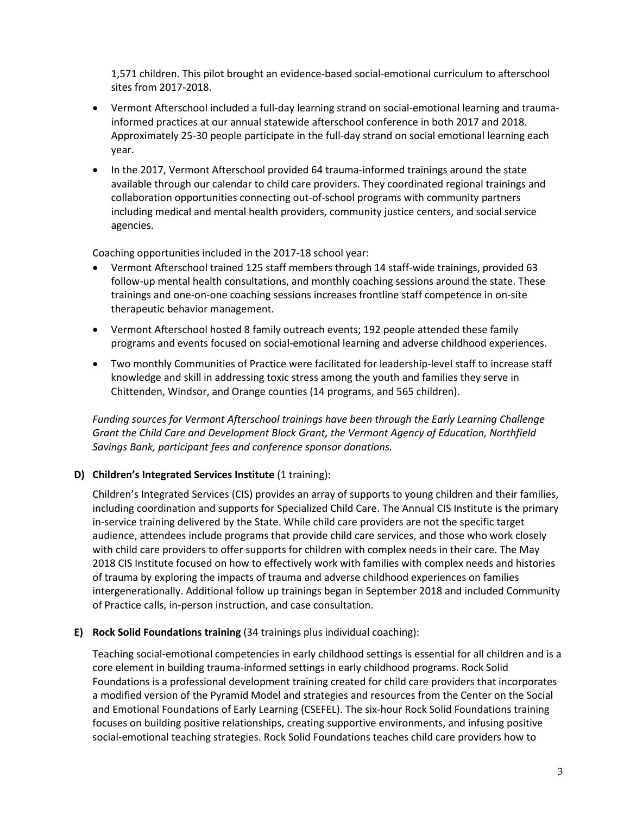1,571 children. This pilot brought an evidence-based social-emotional curriculum to afterschool sites from 2017-2018.

- Vermont Afterschool included a full-day learning strand on social-emotional learning and traumainformed practices at our annual statewide afterschool conference in both 2017 and 2018. Approximately 25-30 people participate in the full-day strand on social emotional learning each year.
- In the 2017, Vermont Afterschool provided 64 trauma-informed trainings around the state available through our calendar to child care providers. They coordinated regional trainings and collaboration opportunities connecting out-of-school programs with community partners including medical and mental health providers, community justice centers, and social service agencies.

Coaching opportunities included in the 2017-18 school year:

- Vermont Afterschool trained 125 staff members through 14 staff-wide trainings, provided 63 follow-up mental health consultations, and monthly coaching sessions around the state. These trainings and one-on-one coaching sessions increases frontline staff competence in on-site therapeutic behavior management.
- Vermont Afterschool hosted 8 family outreach events; 192 people attended these family programs and events focused on social-emotional learning and adverse childhood experiences.
- Two monthly Communities of Practice were facilitated for leadership-level staff to increase staff knowledge and skill in addressing toxic stress among the youth and families they serve in Chittenden, Windsor, and Orange counties (14 programs, and 565 children).

*Funding sources for Vermont Afterschool trainings have been through the Early Learning Challenge Grant the Child Care and Development Block Grant, the Vermont Agency of Education, Northfield Savings Bank, participant fees and conference sponsor donations.*

#### **D) Children's Integrated Services Institute** (1 training):

Children's Integrated Services (CIS) provides an array of supports to young children and their families, including coordination and supports for Specialized Child Care. The Annual CIS Institute is the primary in-service training delivered by the State. While child care providers are not the specific target audience, attendees include programs that provide child care services, and those who work closely with child care providers to offer supports for children with complex needs in their care. The May 2018 CIS Institute focused on how to effectively work with families with complex needs and histories of trauma by exploring the impacts of trauma and adverse childhood experiences on families intergenerationally. Additional follow up trainings began in September 2018 and included Community of Practice calls, in-person instruction, and case consultation.

#### **E) Rock Solid Foundations training** (34 trainings plus individual coaching):

Teaching social-emotional competencies in early childhood settings is essential for all children and is a core element in building trauma-informed settings in early childhood programs. Rock Solid Foundations is a professional development training created for child care providers that incorporates a modified version of the Pyramid Model and strategies and resources from the Center on the Social and Emotional Foundations of Early Learning (CSEFEL). The six-hour Rock Solid Foundations training focuses on building positive relationships, creating supportive environments, and infusing positive social-emotional teaching strategies. Rock Solid Foundations teaches child care providers how to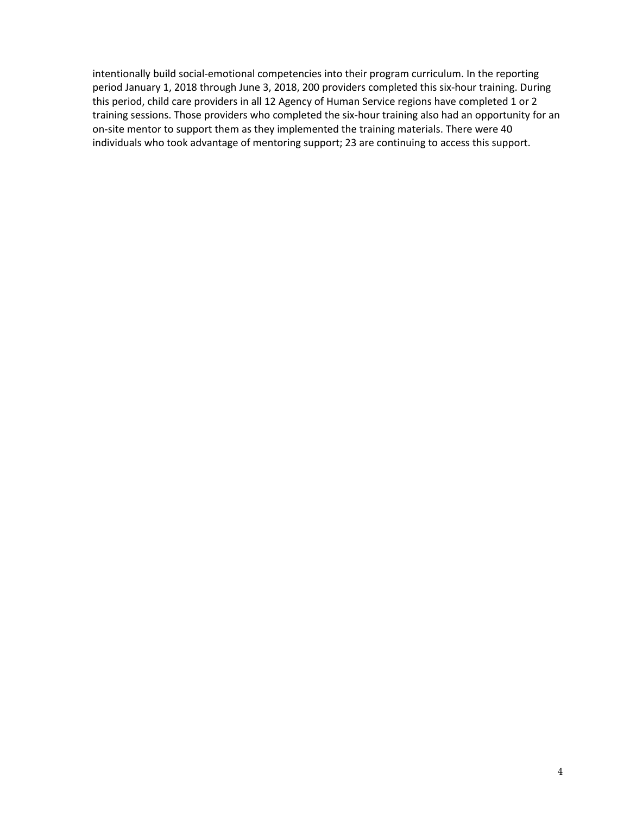intentionally build social-emotional competencies into their program curriculum. In the reporting period January 1, 2018 through June 3, 2018, 200 providers completed this six-hour training. During this period, child care providers in all 12 Agency of Human Service regions have completed 1 or 2 training sessions. Those providers who completed the six-hour training also had an opportunity for an on-site mentor to support them as they implemented the training materials. There were 40 individuals who took advantage of mentoring support; 23 are continuing to access this support.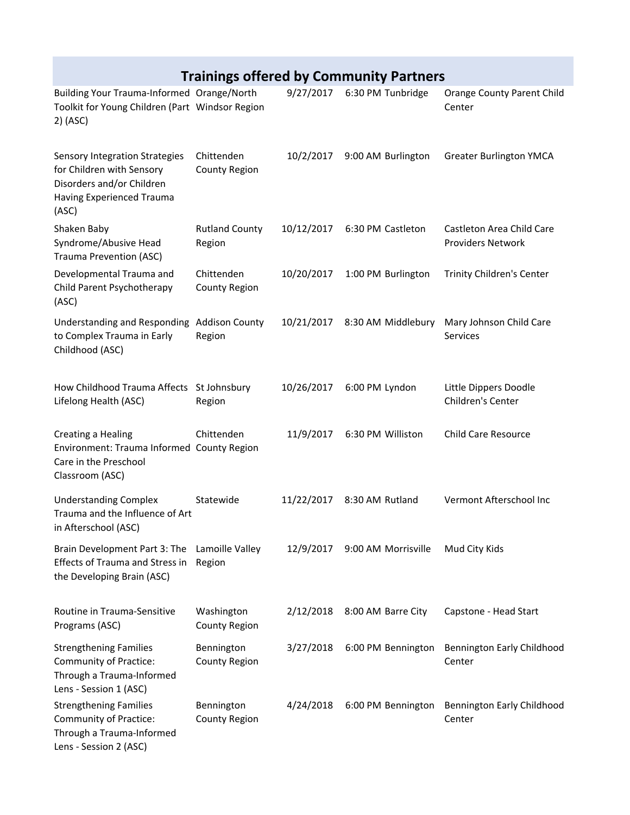# **Trainings offered by Community Partners**

| Building Your Trauma-Informed Orange/North<br>Toolkit for Young Children (Part Windsor Region<br>2) (ASC)                      |                                    | 9/27/2017  | 6:30 PM Tunbridge             | <b>Orange County Parent Child</b><br>Center           |
|--------------------------------------------------------------------------------------------------------------------------------|------------------------------------|------------|-------------------------------|-------------------------------------------------------|
| Sensory Integration Strategies<br>for Children with Sensory<br>Disorders and/or Children<br>Having Experienced Trauma<br>(ASC) | Chittenden<br><b>County Region</b> | 10/2/2017  | 9:00 AM Burlington            | <b>Greater Burlington YMCA</b>                        |
| Shaken Baby<br>Syndrome/Abusive Head<br><b>Trauma Prevention (ASC)</b>                                                         | <b>Rutland County</b><br>Region    | 10/12/2017 | 6:30 PM Castleton             | Castleton Area Child Care<br><b>Providers Network</b> |
| Developmental Trauma and<br>Child Parent Psychotherapy<br>(ASC)                                                                | Chittenden<br><b>County Region</b> | 10/20/2017 | 1:00 PM Burlington            | Trinity Children's Center                             |
| <b>Understanding and Responding</b><br>to Complex Trauma in Early<br>Childhood (ASC)                                           | <b>Addison County</b><br>Region    | 10/21/2017 | 8:30 AM Middlebury            | Mary Johnson Child Care<br>Services                   |
| How Childhood Trauma Affects St Johnsbury<br>Lifelong Health (ASC)                                                             | Region                             | 10/26/2017 | 6:00 PM Lyndon                | Little Dippers Doodle<br><b>Children's Center</b>     |
| Creating a Healing<br>Environment: Trauma Informed County Region<br>Care in the Preschool<br>Classroom (ASC)                   | Chittenden                         | 11/9/2017  | 6:30 PM Williston             | <b>Child Care Resource</b>                            |
| <b>Understanding Complex</b><br>Trauma and the Influence of Art<br>in Afterschool (ASC)                                        | Statewide                          | 11/22/2017 | 8:30 AM Rutland               | Vermont Afterschool Inc                               |
| Brain Development Part 3: The<br><b>Effects of Trauma and Stress in</b><br>the Developing Brain (ASC)                          | Lamoille Valley<br>Region          |            | 12/9/2017 9:00 AM Morrisville | Mud City Kids                                         |
| Routine in Trauma-Sensitive<br>Programs (ASC)                                                                                  | Washington<br><b>County Region</b> | 2/12/2018  | 8:00 AM Barre City            | Capstone - Head Start                                 |
| <b>Strengthening Families</b><br>Community of Practice:<br>Through a Trauma-Informed<br>Lens - Session 1 (ASC)                 | Bennington<br><b>County Region</b> | 3/27/2018  | 6:00 PM Bennington            | <b>Bennington Early Childhood</b><br>Center           |
| <b>Strengthening Families</b><br>Community of Practice:<br>Through a Trauma-Informed<br>Lens - Session 2 (ASC)                 | Bennington<br><b>County Region</b> | 4/24/2018  | 6:00 PM Bennington            | <b>Bennington Early Childhood</b><br>Center           |